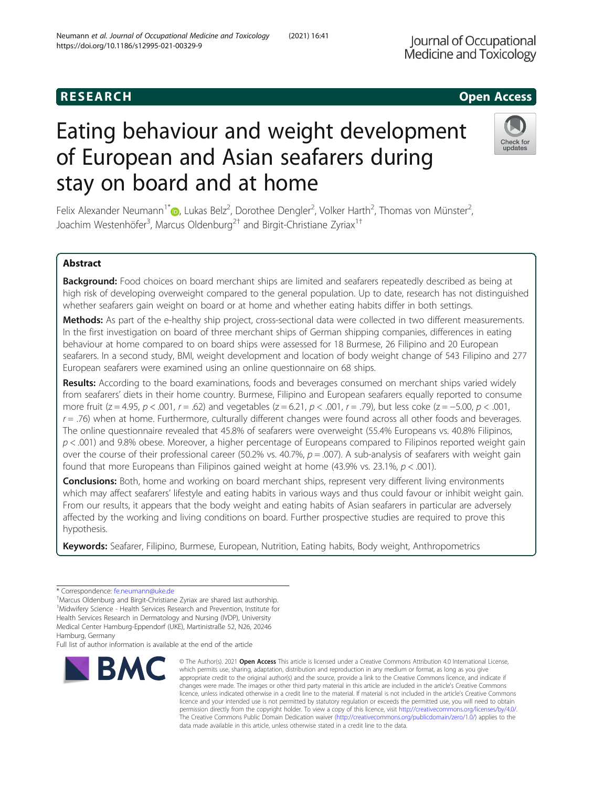## **RESEARCH CHILD CONTROL** CONTROL CONTROL CONTROL CONTROL CONTROL CONTROL CONTROL CONTROL CONTROL CONTROL CONTROL CONTROL CONTROL CONTROL CONTROL CONTROL CONTROL CONTROL CONTROL CONTROL CONTROL CONTROL CONTROL CONTROL CONTR

# Eating behaviour and weight development of European and Asian seafarers during stay on board and at home

Felix Alexander Neumann<sup>1[\\*](http://orcid.org/0000-0003-3107-075X)</sup> D, Lukas Belz<sup>2</sup>, Dorothee Dengler<sup>2</sup>, Volker Harth<sup>2</sup>, Thomas von Münster<sup>2</sup> , Joachim Westenhöfer<sup>3</sup>, Marcus Oldenburg<sup>2†</sup> and Birgit-Christiane Zyriax<sup>1†</sup>

## Abstract

Background: Food choices on board merchant ships are limited and seafarers repeatedly described as being at high risk of developing overweight compared to the general population. Up to date, research has not distinguished whether seafarers gain weight on board or at home and whether eating habits differ in both settings.

Methods: As part of the e-healthy ship project, cross-sectional data were collected in two different measurements. In the first investigation on board of three merchant ships of German shipping companies, differences in eating behaviour at home compared to on board ships were assessed for 18 Burmese, 26 Filipino and 20 European seafarers. In a second study, BMI, weight development and location of body weight change of 543 Filipino and 277 European seafarers were examined using an online questionnaire on 68 ships.

Results: According to the board examinations, foods and beverages consumed on merchant ships varied widely from seafarers' diets in their home country. Burmese, Filipino and European seafarers equally reported to consume more fruit (z = 4.95, p < .001, r = .62) and vegetables (z = 6.21, p < .001, r = .79), but less coke (z = -5.00, p < .001,  $r = 0.76$ ) when at home. Furthermore, culturally different changes were found across all other foods and beverages. The online questionnaire revealed that 45.8% of seafarers were overweight (55.4% Europeans vs. 40.8% Filipinos,  $p < .001$ ) and 9.8% obese. Moreover, a higher percentage of Europeans compared to Filipinos reported weight gain over the course of their professional career (50.2% vs. 40.7%,  $p = .007$ ). A sub-analysis of seafarers with weight gain found that more Europeans than Filipinos gained weight at home  $(43.9\% \text{ vs. } 23.1\%, p < .001)$ .

**Conclusions:** Both, home and working on board merchant ships, represent very different living environments which may affect seafarers' lifestyle and eating habits in various ways and thus could favour or inhibit weight gain. From our results, it appears that the body weight and eating habits of Asian seafarers in particular are adversely affected by the working and living conditions on board. Further prospective studies are required to prove this hypothesis.

Keywords: Seafarer, Filipino, Burmese, European, Nutrition, Eating habits, Body weight, Anthropometrics

Marcus Oldenburg and Birgit-Christiane Zyriax are shared last authorship. <sup>1</sup>Midwifery Science - Health Services Research and Prevention, Institute for

Hamburg, Germany

**BMC** 

Full list of author information is available at the end of the article

which permits use, sharing, adaptation, distribution and reproduction in any medium or format, as long as you give appropriate credit to the original author(s) and the source, provide a link to the Creative Commons licence, and indicate if changes were made. The images or other third party material in this article are included in the article's Creative Commons licence, unless indicated otherwise in a credit line to the material. If material is not included in the article's Creative Commons licence and your intended use is not permitted by statutory regulation or exceeds the permitted use, you will need to obtain permission directly from the copyright holder. To view a copy of this licence, visit [http://creativecommons.org/licenses/by/4.0/.](http://creativecommons.org/licenses/by/4.0/) The Creative Commons Public Domain Dedication waiver [\(http://creativecommons.org/publicdomain/zero/1.0/](http://creativecommons.org/publicdomain/zero/1.0/)) applies to the data made available in this article, unless otherwise stated in a credit line to the data.

© The Author(s), 2021 **Open Access** This article is licensed under a Creative Commons Attribution 4.0 International License,







**Iournal of Occupational Medicine and Toxicology** 

<sup>\*</sup> Correspondence: [fe.neumann@uke.de](mailto:fe.neumann@uke.de) †

Health Services Research in Dermatology and Nursing (IVDP), University Medical Center Hamburg-Eppendorf (UKE), Martinistraße 52, N26, 20246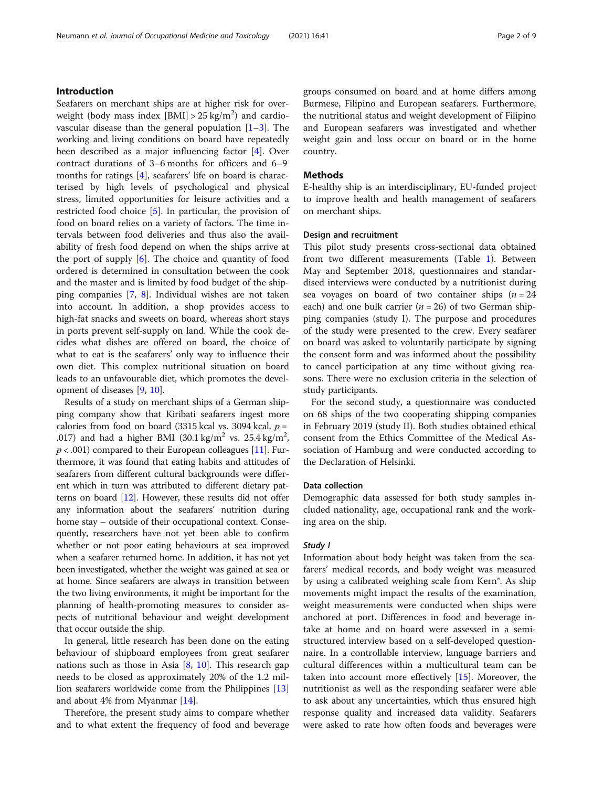Seafarers on merchant ships are at higher risk for overweight (body mass index  $[BMI] > 25 \text{ kg/m}^2$ ) and cardiovascular disease than the general population  $[1-3]$  $[1-3]$  $[1-3]$  $[1-3]$ . The working and living conditions on board have repeatedly been described as a major influencing factor [[4](#page-8-0)]. Over contract durations of 3–6 months for officers and 6–9 months for ratings [\[4](#page-8-0)], seafarers' life on board is characterised by high levels of psychological and physical stress, limited opportunities for leisure activities and a restricted food choice [\[5](#page-8-0)]. In particular, the provision of food on board relies on a variety of factors. The time intervals between food deliveries and thus also the availability of fresh food depend on when the ships arrive at the port of supply  $[6]$  $[6]$ . The choice and quantity of food ordered is determined in consultation between the cook and the master and is limited by food budget of the shipping companies [\[7](#page-8-0), [8\]](#page-8-0). Individual wishes are not taken into account. In addition, a shop provides access to high-fat snacks and sweets on board, whereas short stays in ports prevent self-supply on land. While the cook decides what dishes are offered on board, the choice of what to eat is the seafarers' only way to influence their own diet. This complex nutritional situation on board leads to an unfavourable diet, which promotes the development of diseases [\[9](#page-8-0), [10](#page-8-0)].

Results of a study on merchant ships of a German shipping company show that Kiribati seafarers ingest more calories from food on board (3315 kcal vs. 3094 kcal,  $p =$ .017) and had a higher BMI (30.1 kg/m<sup>2</sup> vs. 25.4 kg/m<sup>2</sup>,  $p < .001$ ) compared to their European colleagues [[11](#page-8-0)]. Furthermore, it was found that eating habits and attitudes of seafarers from different cultural backgrounds were different which in turn was attributed to different dietary patterns on board [\[12\]](#page-8-0). However, these results did not offer any information about the seafarers' nutrition during home stay – outside of their occupational context. Consequently, researchers have not yet been able to confirm whether or not poor eating behaviours at sea improved when a seafarer returned home. In addition, it has not yet been investigated, whether the weight was gained at sea or at home. Since seafarers are always in transition between the two living environments, it might be important for the planning of health-promoting measures to consider aspects of nutritional behaviour and weight development that occur outside the ship.

In general, little research has been done on the eating behaviour of shipboard employees from great seafarer nations such as those in Asia [[8,](#page-8-0) [10](#page-8-0)]. This research gap needs to be closed as approximately 20% of the 1.2 million seafarers worldwide come from the Philippines [[13](#page-8-0)] and about 4% from Myanmar [[14\]](#page-8-0).

Therefore, the present study aims to compare whether and to what extent the frequency of food and beverage groups consumed on board and at home differs among Burmese, Filipino and European seafarers. Furthermore, the nutritional status and weight development of Filipino and European seafarers was investigated and whether weight gain and loss occur on board or in the home country.

## Methods

E-healthy ship is an interdisciplinary, EU-funded project to improve health and health management of seafarers on merchant ships.

#### Design and recruitment

This pilot study presents cross-sectional data obtained from two different measurements (Table [1](#page-2-0)). Between May and September 2018, questionnaires and standardised interviews were conducted by a nutritionist during sea voyages on board of two container ships  $(n = 24)$ each) and one bulk carrier ( $n = 26$ ) of two German shipping companies (study I). The purpose and procedures of the study were presented to the crew. Every seafarer on board was asked to voluntarily participate by signing the consent form and was informed about the possibility to cancel participation at any time without giving reasons. There were no exclusion criteria in the selection of study participants.

For the second study, a questionnaire was conducted on 68 ships of the two cooperating shipping companies in February 2019 (study II). Both studies obtained ethical consent from the Ethics Committee of the Medical Association of Hamburg and were conducted according to the Declaration of Helsinki.

#### Data collection

Demographic data assessed for both study samples included nationality, age, occupational rank and the working area on the ship.

## Study I

Information about body height was taken from the seafarers' medical records, and body weight was measured by using a calibrated weighing scale from Kern®. As ship movements might impact the results of the examination, weight measurements were conducted when ships were anchored at port. Differences in food and beverage intake at home and on board were assessed in a semistructured interview based on a self-developed questionnaire. In a controllable interview, language barriers and cultural differences within a multicultural team can be taken into account more effectively [\[15](#page-8-0)]. Moreover, the nutritionist as well as the responding seafarer were able to ask about any uncertainties, which thus ensured high response quality and increased data validity. Seafarers were asked to rate how often foods and beverages were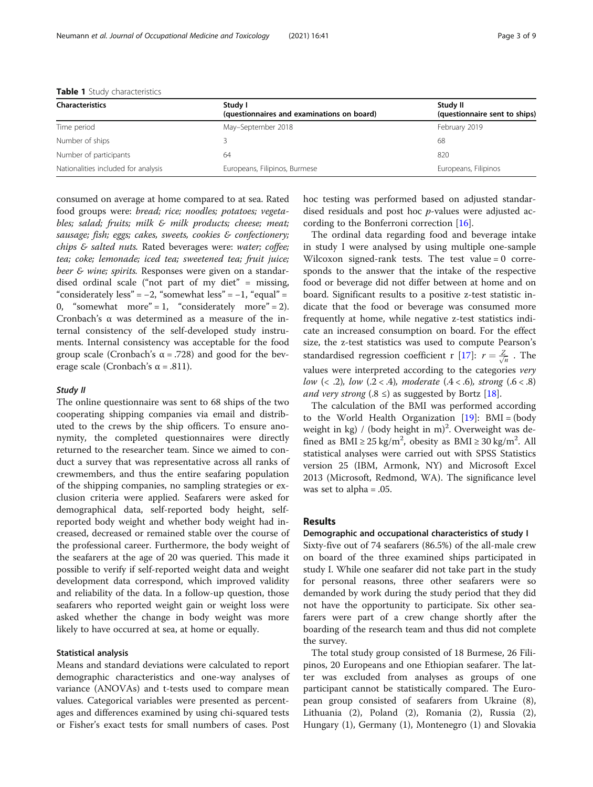| <b>Characteristics</b>              | Study I<br>(questionnaires and examinations on board) | Study II<br>(questionnaire sent to ships) |  |  |  |
|-------------------------------------|-------------------------------------------------------|-------------------------------------------|--|--|--|
| Time period                         | May-September 2018                                    | February 2019                             |  |  |  |
| Number of ships                     |                                                       | 68                                        |  |  |  |
| Number of participants              | 64                                                    | 820                                       |  |  |  |
| Nationalities included for analysis | Europeans, Filipinos, Burmese                         | Europeans, Filipinos                      |  |  |  |

<span id="page-2-0"></span>Table 1 Study characteristics

consumed on average at home compared to at sea. Rated food groups were: bread; rice; noodles; potatoes; vegetables; salad; fruits; milk & milk products; cheese; meat; sausage; fish; eggs; cakes, sweets, cookies & confectionery; chips & salted nuts. Rated beverages were: water; coffee; tea; coke; lemonade; iced tea; sweetened tea; fruit juice; beer & wine; spirits. Responses were given on a standardised ordinal scale ("not part of my diet" = missing, "considerately less" =  $-2$ , "somewhat less" =  $-1$ , "equal" = 0, "somewhat more" = 1, "considerately more" = 2). Cronbach's α was determined as a measure of the internal consistency of the self-developed study instruments. Internal consistency was acceptable for the food group scale (Cronbach's  $\alpha$  = .728) and good for the beverage scale (Cronbach's  $\alpha$  = .811).

## Study II

The online questionnaire was sent to 68 ships of the two cooperating shipping companies via email and distributed to the crews by the ship officers. To ensure anonymity, the completed questionnaires were directly returned to the researcher team. Since we aimed to conduct a survey that was representative across all ranks of crewmembers, and thus the entire seafaring population of the shipping companies, no sampling strategies or exclusion criteria were applied. Seafarers were asked for demographical data, self-reported body height, selfreported body weight and whether body weight had increased, decreased or remained stable over the course of the professional career. Furthermore, the body weight of the seafarers at the age of 20 was queried. This made it possible to verify if self-reported weight data and weight development data correspond, which improved validity and reliability of the data. In a follow-up question, those seafarers who reported weight gain or weight loss were asked whether the change in body weight was more likely to have occurred at sea, at home or equally.

## Statistical analysis

Means and standard deviations were calculated to report demographic characteristics and one-way analyses of variance (ANOVAs) and t-tests used to compare mean values. Categorical variables were presented as percentages and differences examined by using chi-squared tests or Fisher's exact tests for small numbers of cases. Post hoc testing was performed based on adjusted standardised residuals and post hoc p-values were adjusted according to the Bonferroni correction [[16\]](#page-8-0).

The ordinal data regarding food and beverage intake in study I were analysed by using multiple one-sample Wilcoxon signed-rank tests. The test value = 0 corresponds to the answer that the intake of the respective food or beverage did not differ between at home and on board. Significant results to a positive z-test statistic indicate that the food or beverage was consumed more frequently at home, while negative z-test statistics indicate an increased consumption on board. For the effect size, the z-test statistics was used to compute Pearson's standardised regression coefficient r [\[17](#page-8-0)]:  $r = \frac{Z}{\sqrt{n}}$ . The values were interpreted according to the categories very low  $(< .2$ ), low  $(.2 < .4)$ , moderate  $(.4 < .6)$ , strong  $(.6 < .8)$ and very strong (.8  $\leq$ ) as suggested by Bortz [\[18\]](#page-8-0).

The calculation of the BMI was performed according to the World Health Organization  $[19]$  $[19]$  $[19]$ : BMI = (body weight in kg) / (body height in m)<sup>2</sup>. Overweight was defined as  $BMI \ge 25 \text{ kg/m}^2$ , obesity as  $BMI \ge 30 \text{ kg/m}^2$ . All statistical analyses were carried out with SPSS Statistics version 25 (IBM, Armonk, NY) and Microsoft Excel 2013 (Microsoft, Redmond, WA). The significance level was set to alpha = .05.

#### Results

## Demographic and occupational characteristics of study I

Sixty-five out of 74 seafarers (86.5%) of the all-male crew on board of the three examined ships participated in study I. While one seafarer did not take part in the study for personal reasons, three other seafarers were so demanded by work during the study period that they did not have the opportunity to participate. Six other seafarers were part of a crew change shortly after the boarding of the research team and thus did not complete the survey.

The total study group consisted of 18 Burmese, 26 Filipinos, 20 Europeans and one Ethiopian seafarer. The latter was excluded from analyses as groups of one participant cannot be statistically compared. The European group consisted of seafarers from Ukraine (8), Lithuania (2), Poland (2), Romania (2), Russia (2), Hungary (1), Germany (1), Montenegro (1) and Slovakia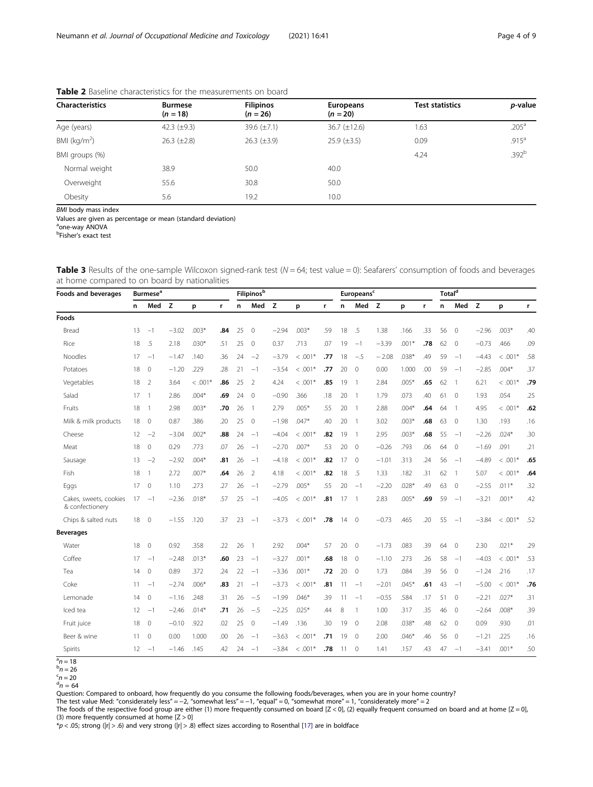| <b>Characteristics</b>     | <b>Burmese</b><br>$(n = 18)$ | <b>Filipinos</b><br>$(n = 26)$ | <b>Europeans</b><br>$(n = 20)$ | <b>Test statistics</b> | p-value           |  |
|----------------------------|------------------------------|--------------------------------|--------------------------------|------------------------|-------------------|--|
| Age (years)                | 42.3 $(\pm 9.3)$             | 39.6 $(\pm 7.1)$               | $36.7 (\pm 12.6)$              | 1.63                   | .205 <sup>a</sup> |  |
| BMI ( $kg/m2$ )            | $26.3 \ (\pm 2.8)$           | $26.3 \ (\pm 3.9)$             | $25.9 \ (\pm 3.5)$             | 0.09                   | .915 <sup>a</sup> |  |
| BMI groups (%)             |                              |                                |                                | 4.24                   | .392 <sup>b</sup> |  |
| Normal weight              | 38.9                         | 50.0                           | 40.0                           |                        |                   |  |
| Overweight                 | 55.6                         | 30.8                           | 50.0                           |                        |                   |  |
| Obesity                    | 5.6                          | 19.2                           | 10.0                           |                        |                   |  |
| <b>BMI</b> body mass index |                              |                                |                                |                        |                   |  |

<span id="page-3-0"></span>Table 2 Baseline characteristics for the measurements on board

Values are given as percentage or mean (standard deviation)

a one-way ANOVA

b Fisher's exact test

Table 3 Results of the one-sample Wilcoxon signed-rank test ( $N = 64$ ; test value = 0): Seafarers' consumption of foods and beverages at home compared to on board by nationalities

| Foods and beverages                       | <b>Burmese<sup>a</sup></b> |                |         |           | <b>Filipinos</b> b |    |                |         | Europeans <sup>c</sup> |     |    |                | Total <sup>d</sup> |         |     |    |                |         |           |     |
|-------------------------------------------|----------------------------|----------------|---------|-----------|--------------------|----|----------------|---------|------------------------|-----|----|----------------|--------------------|---------|-----|----|----------------|---------|-----------|-----|
|                                           | n                          | Med Z          |         | p         | r                  | n  | Med Z          |         | p                      | r   | n  | Med Z          |                    | p       | r.  | n  | Med Z          |         | p         | r   |
| Foods                                     |                            |                |         |           |                    |    |                |         |                        |     |    |                |                    |         |     |    |                |         |           |     |
| Bread                                     | 13                         | $-1$           | $-3.02$ | $.003*$   | .84                | 25 | $\overline{0}$ | $-2.94$ | $.003*$                | .59 | 18 | .5             | 1.38               | .166    | .33 | 56 | $\circ$        | $-2.96$ | $.003*$   | .40 |
| Rice                                      | 18                         | .5             | 2.18    | $.030*$   | .51                | 25 | $\mathbf{0}$   | 0.37    | .713                   | .07 | 19 | $-1$           | $-3.39$            | $.001*$ | .78 | 62 | $\Omega$       | $-0.73$ | .466      | .09 |
| Noodles                                   | 17                         | $-1$           | $-1.47$ | .140      | .36                | 24 | $-2$           | $-3.79$ | $<.001*$               | .77 | 18 | $-.5$          | $-2.08$            | $.038*$ | .49 | 59 | $-1$           | $-4.43$ | $<.001*$  | .58 |
| Potatoes                                  | 18                         | $\mathbf{0}$   | $-1.20$ | .229      | .28                | 21 | $-1$           | $-3.54$ | $< .001*$              | .77 | 20 | $\overline{0}$ | 0.00               | 1.000   | .00 | 59 | $-1$           | $-2.85$ | $.004*$   | .37 |
| Vegetables                                | 18                         | 2              | 3.64    | $< .001*$ | .86                | 25 | 2              | 4.24    | $< .001*$              | .85 | 19 | $\overline{1}$ | 2.84               | $.005*$ | .65 | 62 | $\overline{1}$ | 6.21    | $< .001*$ | .79 |
| Salad                                     | 17                         | $\overline{1}$ | 2.86    | $.004*$   | .69                | 24 | $\overline{0}$ | $-0.90$ | .366                   | .18 | 20 | $\overline{1}$ | 1.79               | .073    | .40 | 61 | $\mathbf{0}$   | 1.93    | .054      | .25 |
| Fruits                                    | 18                         | $\overline{1}$ | 2.98    | $.003*$   | .70                | 26 | $\overline{1}$ | 2.79    | $.005*$                | .55 | 20 | $\overline{1}$ | 2.88               | $.004*$ | .64 | 64 | $\overline{1}$ | 4.95    | $< .001*$ | .62 |
| Milk & milk products                      | 18                         | $\overline{0}$ | 0.87    | .386      | .20                | 25 | $\overline{0}$ | $-1.98$ | $.047*$                | .40 | 20 | $\overline{1}$ | 3.02               | $.003*$ | .68 | 63 | $\mathbf{0}$   | 1.30    | .193      | .16 |
| Cheese                                    | $12 \overline{ }$          | $-2$           | $-3.04$ | $.002*$   | .88                | 24 | $-1$           | $-4.04$ | $<.001*$               | .82 | 19 | $\overline{1}$ | 2.95               | $.003*$ | .68 | 55 | $-1$           | $-2.26$ | $.024*$   | .30 |
| Meat                                      | 18                         | $\circ$        | 0.29    | .773      | .07                | 26 | $-1$           | $-2.70$ | $.007*$                | .53 | 20 | $\overline{0}$ | $-0.26$            | .793    | .06 | 64 | $\mathbb O$    | $-1.69$ | .091      | .21 |
| Sausage                                   | 13                         | $-2$           | $-2.92$ | $.004*$   | .81                | 26 | $-1$           | $-4.18$ | $< .001*$              | .82 | 17 | $\overline{0}$ | $-1.01$            | .313    | .24 | 56 | $-1$           | $-4.89$ | $<.001*$  | .65 |
| Fish                                      | 18                         | $\overline{1}$ | 2.72    | $.007*$   | .64                | 26 | 2              | 4.18    | $< .001*$              | .82 | 18 | .5             | 1.33               | .182    | .31 | 62 | $\overline{1}$ | 5.07    | $< .001*$ | .64 |
| Eggs                                      | 17                         | $\overline{0}$ | 1.10    | .273      | .27                | 26 | $-1$           | $-2.79$ | $.005*$                | .55 | 20 | $-1$           | $-2.20$            | $.028*$ | .49 | 63 | $\circ$        | $-2.55$ | $.011*$   | .32 |
| Cakes, sweets, cookies<br>& confectionery | 17                         | $-1$           | $-2.36$ | $.018*$   | .57                | 25 | $-1$           | $-4.05$ | $< .001*$              | .81 | 17 | $\overline{1}$ | 2.83               | $.005*$ | .69 | 59 | $-1$           | $-3.21$ | $.001*$   | .42 |
| Chips & salted nuts                       | 18                         | $\overline{0}$ | $-1.55$ | .120      | .37                | 23 | $-1$           | $-3.73$ | $< .001*$              | .78 | 14 | $\overline{0}$ | $-0.73$            | .465    | .20 | 55 | $-1$           | $-3.84$ | $< .001*$ | .52 |
| <b>Beverages</b>                          |                            |                |         |           |                    |    |                |         |                        |     |    |                |                    |         |     |    |                |         |           |     |
| Water                                     | 18                         | $\circ$        | 0.92    | .358      | .22                | 26 | $\mathbf{1}$   | 2.92    | $.004*$                | .57 | 20 | $\circ$        | $-1.73$            | .083    | .39 | 64 | $\circ$        | 2.30    | $.021*$   | .29 |
| Coffee                                    | 17                         | $-1$           | $-2.48$ | $.013*$   | .60                | 23 | $-1$           | $-3.27$ | $.001*$                | .68 | 18 | $\Omega$       | $-1.10$            | .273    | .26 | 58 | $-1$           | $-4.03$ | $<.001*$  | .53 |
| Tea                                       | 14                         | $\mathbf{0}$   | 0.89    | .372      | .24                | 22 | $-1$           | $-3.36$ | $.001*$                | .72 | 20 | $\mathbf{0}$   | 1.73               | .084    | .39 | 56 | $\mathbf{0}$   | $-1.24$ | .216      | .17 |
| Coke                                      | 11                         | $-1$           | $-2.74$ | $.006*$   | .83                | 21 | $-1$           | $-3.73$ | $< .001*$              | .81 | 11 | $-1$           | $-2.01$            | $.045*$ | .61 | 43 | $-1$           | $-5.00$ | $< .001*$ | .76 |
| Lemonade                                  | 14                         | $\mathbf{0}$   | $-1.16$ | .248      | .31                | 26 | $-5$           | $-1.99$ | $.046*$                | .39 | 11 | $-1$           | $-0.55$            | .584    | .17 | 51 | $\mathbf{0}$   | $-2.21$ | $.027*$   | .31 |
| Iced tea                                  | 12                         | $-1$           | $-2.46$ | $.014*$   | .71                | 26 | $-5$           | $-2.25$ | $.025*$                | .44 | 8  | $\mathbf{1}$   | 1.00               | .317    | .35 | 46 | $\mathbf{0}$   | $-2.64$ | $.008*$   | .39 |
| Fruit juice                               | 18                         | $\circ$        | $-0.10$ | .922      | .02                | 25 | $\circ$        | $-1.49$ | .136                   | .30 | 19 | $\mathbf 0$    | 2.08               | $.038*$ | .48 | 62 | $\circ$        | 0.09    | .930      | .01 |
| Beer & wine                               | 11                         | $\mathbf{0}$   | 0.00    | 1.000     | .00                | 26 | $-1$           | $-3.63$ | $< .001*$              | .71 | 19 | $\overline{0}$ | 2.00               | $.046*$ | .46 | 56 | $\mathbf{0}$   | $-1.21$ | .225      | .16 |
| Spirits                                   | $12 \overline{ }$          | $-1$           | $-1.46$ | .145      | .42                | 24 | $-1$           | $-3.84$ | $< .001*$              | .78 | 11 | $\overline{0}$ | 1.41               | .157    | .43 | 47 | $-1$           | $-3.41$ | $.001*$   | .50 |

 $\frac{a}{n}$  = 18

 $b_n = 26$  $n = 26$ <br>  $n = 20$ <br>  $n = 64$ 

Question: Compared to onboard, how frequently do you consume the following foods/beverages, when you are in your home country?<br>The test value Med: "considerately less" = —2, "somewhat less" = —1, "equal" = 0, "somewhat mor (3) more frequently consumed at home  $[Z > 0]$ 

 $*p < .05$ ; strong (|r| > .6) and very strong (|r| > .8) effect sizes according to Rosenthal [\[17](#page-8-0)] are in boldface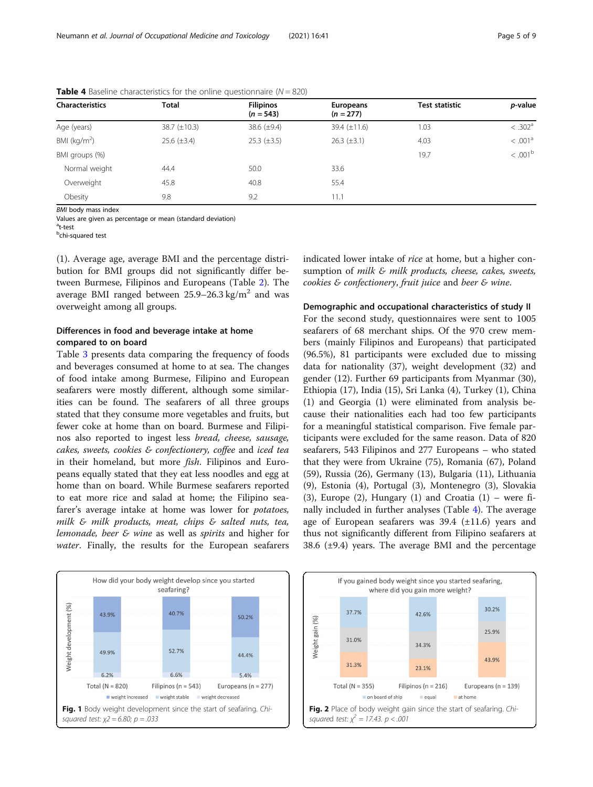| <b>Characteristics</b>           | <b>Total</b>     | <b>Filipinos</b><br>$(n = 543)$ | Europeans<br>$(n = 277)$ | <b>Test statistic</b> | p-value             |  |  |
|----------------------------------|------------------|---------------------------------|--------------------------|-----------------------|---------------------|--|--|
| 38.7 $(\pm 10.3)$<br>Age (years) |                  | 38.6 $(\pm 9.4)$                | 39.4 $(\pm 11.6)$        | 1.03                  | < .302 <sup>a</sup> |  |  |
| BMI ( $kg/m2$ )                  | $25.6 (\pm 3.4)$ | $25.3 (\pm 3.5)$                | $26.3 \ (\pm 3.1)$       | 4.03                  | < .001 <sup>a</sup> |  |  |
| BMI groups (%)                   |                  |                                 |                          | 19.7                  | < .001 <sup>b</sup> |  |  |
| Normal weight                    | 44.4             | 50.0                            | 33.6                     |                       |                     |  |  |
| Overweight                       | 45.8             | 40.8                            | 55.4                     |                       |                     |  |  |
| Obesity                          | 9.8              | 9.2                             | 11.1                     |                       |                     |  |  |

<span id="page-4-0"></span>**Table 4** Baseline characteristics for the online questionnaire ( $N = 820$ )

BMI body mass index

Values are given as percentage or mean (standard deviation)

<sup>a</sup>t-test

<sup>b</sup>chi-squared test

(1). Average age, average BMI and the percentage distribution for BMI groups did not significantly differ between Burmese, Filipinos and Europeans (Table [2](#page-3-0)). The average BMI ranged between  $25.9-26.3 \text{ kg/m}^2$  and was overweight among all groups.

## Differences in food and beverage intake at home compared to on board

Table [3](#page-3-0) presents data comparing the frequency of foods and beverages consumed at home to at sea. The changes of food intake among Burmese, Filipino and European seafarers were mostly different, although some similarities can be found. The seafarers of all three groups stated that they consume more vegetables and fruits, but fewer coke at home than on board. Burmese and Filipinos also reported to ingest less bread, cheese, sausage, cakes, sweets, cookies & confectionery, coffee and iced tea in their homeland, but more fish. Filipinos and Europeans equally stated that they eat less noodles and egg at home than on board. While Burmese seafarers reported to eat more rice and salad at home; the Filipino seafarer's average intake at home was lower for potatoes, milk & milk products, meat, chips & salted nuts, tea, lemonade, beer & wine as well as spirits and higher for water. Finally, the results for the European seafarers indicated lower intake of rice at home, but a higher consumption of milk & milk products, cheese, cakes, sweets, cookies & confectionery, fruit juice and beer & wine.

#### Demographic and occupational characteristics of study II

For the second study, questionnaires were sent to 1005 seafarers of 68 merchant ships. Of the 970 crew members (mainly Filipinos and Europeans) that participated (96.5%), 81 participants were excluded due to missing data for nationality (37), weight development (32) and gender (12). Further 69 participants from Myanmar (30), Ethiopia (17), India (15), Sri Lanka (4), Turkey (1), China (1) and Georgia (1) were eliminated from analysis because their nationalities each had too few participants for a meaningful statistical comparison. Five female participants were excluded for the same reason. Data of 820 seafarers, 543 Filipinos and 277 Europeans – who stated that they were from Ukraine (75), Romania (67), Poland (59), Russia (26), Germany (13), Bulgaria (11), Lithuania (9), Estonia (4), Portugal (3), Montenegro (3), Slovakia (3), Europe  $(2)$ , Hungary  $(1)$  and Croatia  $(1)$  – were finally included in further analyses (Table 4). The average age of European seafarers was  $39.4$  ( $\pm 11.6$ ) years and thus not significantly different from Filipino seafarers at 38.6  $(\pm 9.4)$  years. The average BMI and the percentage



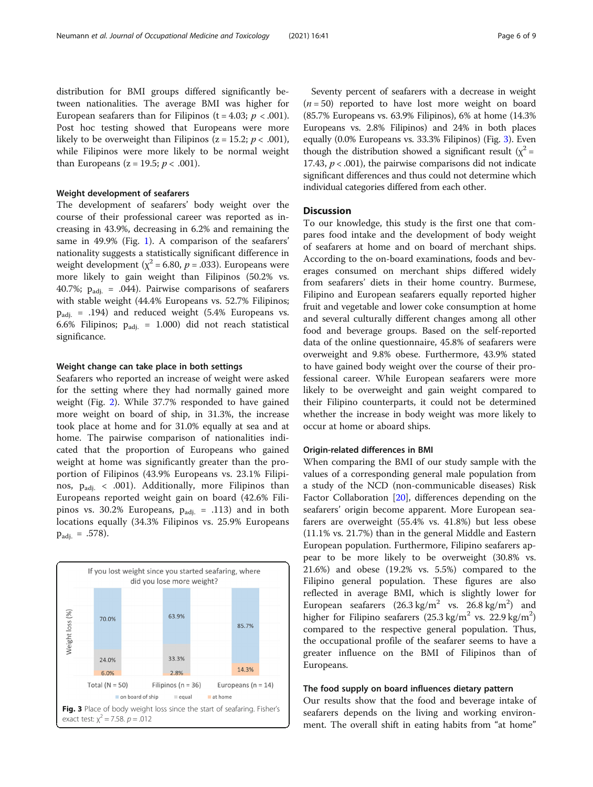distribution for BMI groups differed significantly between nationalities. The average BMI was higher for European seafarers than for Filipinos (t = 4.03;  $p < .001$ ). Post hoc testing showed that Europeans were more likely to be overweight than Filipinos ( $z = 15.2$ ;  $p < .001$ ), while Filipinos were more likely to be normal weight than Europeans ( $z = 19.5$ ;  $p < .001$ ).

## Weight development of seafarers

The development of seafarers' body weight over the course of their professional career was reported as increasing in 43.9%, decreasing in 6.2% and remaining the same in 49.9% (Fig. [1\)](#page-4-0). A comparison of the seafarers' nationality suggests a statistically significant difference in weight development ( $\chi^2$  = 6.80,  $p$  = .033). Europeans were more likely to gain weight than Filipinos (50.2% vs. 40.7%;  $p_{\text{adi.}} = .044$ ). Pairwise comparisons of seafarers with stable weight (44.4% Europeans vs. 52.7% Filipinos;  $p_{\text{adi.}}$  = .194) and reduced weight (5.4% Europeans vs. 6.6% Filipinos;  $p_{\text{adj.}} = 1.000$ ) did not reach statistical significance.

## Weight change can take place in both settings

Seafarers who reported an increase of weight were asked for the setting where they had normally gained more weight (Fig. [2\)](#page-4-0). While 37.7% responded to have gained more weight on board of ship, in 31.3%, the increase took place at home and for 31.0% equally at sea and at home. The pairwise comparison of nationalities indicated that the proportion of Europeans who gained weight at home was significantly greater than the proportion of Filipinos (43.9% Europeans vs. 23.1% Filipinos,  $p_{\text{adi.}} < .001$ ). Additionally, more Filipinos than Europeans reported weight gain on board (42.6% Filipinos vs. 30.2% Europeans,  $p_{\text{adj.}} = .113$ ) and in both locations equally (34.3% Filipinos vs. 25.9% Europeans  $p_{\text{adi.}} = .578$ ).



Seventy percent of seafarers with a decrease in weight  $(n = 50)$  reported to have lost more weight on board (85.7% Europeans vs. 63.9% Filipinos), 6% at home (14.3% Europeans vs. 2.8% Filipinos) and 24% in both places equally (0.0% Europeans vs. 33.3% Filipinos) (Fig. 3). Even though the distribution showed a significant result ( $\chi^2$  = 17.43,  $p < .001$ ), the pairwise comparisons did not indicate significant differences and thus could not determine which individual categories differed from each other.

## **Discussion**

To our knowledge, this study is the first one that compares food intake and the development of body weight of seafarers at home and on board of merchant ships. According to the on-board examinations, foods and beverages consumed on merchant ships differed widely from seafarers' diets in their home country. Burmese, Filipino and European seafarers equally reported higher fruit and vegetable and lower coke consumption at home and several culturally different changes among all other food and beverage groups. Based on the self-reported data of the online questionnaire, 45.8% of seafarers were overweight and 9.8% obese. Furthermore, 43.9% stated to have gained body weight over the course of their professional career. While European seafarers were more likely to be overweight and gain weight compared to their Filipino counterparts, it could not be determined whether the increase in body weight was more likely to occur at home or aboard ships.

## Origin-related differences in BMI

When comparing the BMI of our study sample with the values of a corresponding general male population from a study of the NCD (non-communicable diseases) Risk Factor Collaboration [[20](#page-8-0)], differences depending on the seafarers' origin become apparent. More European seafarers are overweight (55.4% vs. 41.8%) but less obese (11.1% vs. 21.7%) than in the general Middle and Eastern European population. Furthermore, Filipino seafarers appear to be more likely to be overweight (30.8% vs. 21.6%) and obese (19.2% vs. 5.5%) compared to the Filipino general population. These figures are also reflected in average BMI, which is slightly lower for European seafarers  $(26.3 \text{ kg/m}^2 \text{ vs. } 26.8 \text{ kg/m}^2)$  and higher for Filipino seafarers  $(25.3 \text{ kg/m}^2 \text{ vs. } 22.9 \text{ kg/m}^2)$ compared to the respective general population. Thus, the occupational profile of the seafarer seems to have a greater influence on the BMI of Filipinos than of Europeans.

#### The food supply on board influences dietary pattern

Our results show that the food and beverage intake of seafarers depends on the living and working environment. The overall shift in eating habits from "at home"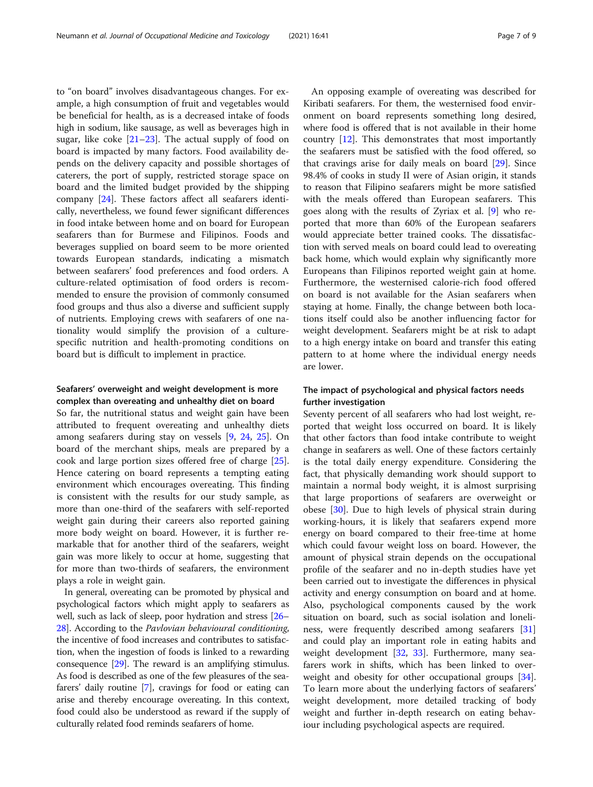to "on board" involves disadvantageous changes. For example, a high consumption of fruit and vegetables would be beneficial for health, as is a decreased intake of foods high in sodium, like sausage, as well as beverages high in sugar, like coke [\[21](#page-8-0)–[23\]](#page-8-0). The actual supply of food on board is impacted by many factors. Food availability depends on the delivery capacity and possible shortages of caterers, the port of supply, restricted storage space on board and the limited budget provided by the shipping company [[24](#page-8-0)]. These factors affect all seafarers identically, nevertheless, we found fewer significant differences in food intake between home and on board for European seafarers than for Burmese and Filipinos. Foods and beverages supplied on board seem to be more oriented towards European standards, indicating a mismatch between seafarers' food preferences and food orders. A culture-related optimisation of food orders is recommended to ensure the provision of commonly consumed food groups and thus also a diverse and sufficient supply of nutrients. Employing crews with seafarers of one nationality would simplify the provision of a culturespecific nutrition and health-promoting conditions on board but is difficult to implement in practice.

## Seafarers' overweight and weight development is more complex than overeating and unhealthy diet on board

So far, the nutritional status and weight gain have been attributed to frequent overeating and unhealthy diets among seafarers during stay on vessels [[9,](#page-8-0) [24](#page-8-0), [25\]](#page-8-0). On board of the merchant ships, meals are prepared by a cook and large portion sizes offered free of charge [\[25](#page-8-0)]. Hence catering on board represents a tempting eating environment which encourages overeating. This finding is consistent with the results for our study sample, as more than one-third of the seafarers with self-reported weight gain during their careers also reported gaining more body weight on board. However, it is further remarkable that for another third of the seafarers, weight gain was more likely to occur at home, suggesting that for more than two-thirds of seafarers, the environment plays a role in weight gain.

In general, overeating can be promoted by physical and psychological factors which might apply to seafarers as well, such as lack of sleep, poor hydration and stress [\[26](#page-8-0)– [28](#page-8-0)]. According to the Pavlovian behavioural conditioning, the incentive of food increases and contributes to satisfaction, when the ingestion of foods is linked to a rewarding consequence [\[29\]](#page-8-0). The reward is an amplifying stimulus. As food is described as one of the few pleasures of the seafarers' daily routine [\[7\]](#page-8-0), cravings for food or eating can arise and thereby encourage overeating. In this context, food could also be understood as reward if the supply of culturally related food reminds seafarers of home.

An opposing example of overeating was described for Kiribati seafarers. For them, the westernised food environment on board represents something long desired, where food is offered that is not available in their home country [[12\]](#page-8-0). This demonstrates that most importantly the seafarers must be satisfied with the food offered, so that cravings arise for daily meals on board [[29](#page-8-0)]. Since 98.4% of cooks in study II were of Asian origin, it stands to reason that Filipino seafarers might be more satisfied with the meals offered than European seafarers. This goes along with the results of Zyriax et al. [\[9](#page-8-0)] who reported that more than 60% of the European seafarers would appreciate better trained cooks. The dissatisfaction with served meals on board could lead to overeating back home, which would explain why significantly more Europeans than Filipinos reported weight gain at home. Furthermore, the westernised calorie-rich food offered on board is not available for the Asian seafarers when staying at home. Finally, the change between both locations itself could also be another influencing factor for weight development. Seafarers might be at risk to adapt to a high energy intake on board and transfer this eating pattern to at home where the individual energy needs are lower.

## The impact of psychological and physical factors needs further investigation

Seventy percent of all seafarers who had lost weight, reported that weight loss occurred on board. It is likely that other factors than food intake contribute to weight change in seafarers as well. One of these factors certainly is the total daily energy expenditure. Considering the fact, that physically demanding work should support to maintain a normal body weight, it is almost surprising that large proportions of seafarers are overweight or obese [[30\]](#page-8-0). Due to high levels of physical strain during working-hours, it is likely that seafarers expend more energy on board compared to their free-time at home which could favour weight loss on board. However, the amount of physical strain depends on the occupational profile of the seafarer and no in-depth studies have yet been carried out to investigate the differences in physical activity and energy consumption on board and at home. Also, psychological components caused by the work situation on board, such as social isolation and loneliness, were frequently described among seafarers [[31](#page-8-0)] and could play an important role in eating habits and weight development [[32,](#page-8-0) [33\]](#page-8-0). Furthermore, many seafarers work in shifts, which has been linked to over-weight and obesity for other occupational groups [\[34](#page-8-0)]. To learn more about the underlying factors of seafarers' weight development, more detailed tracking of body weight and further in-depth research on eating behaviour including psychological aspects are required.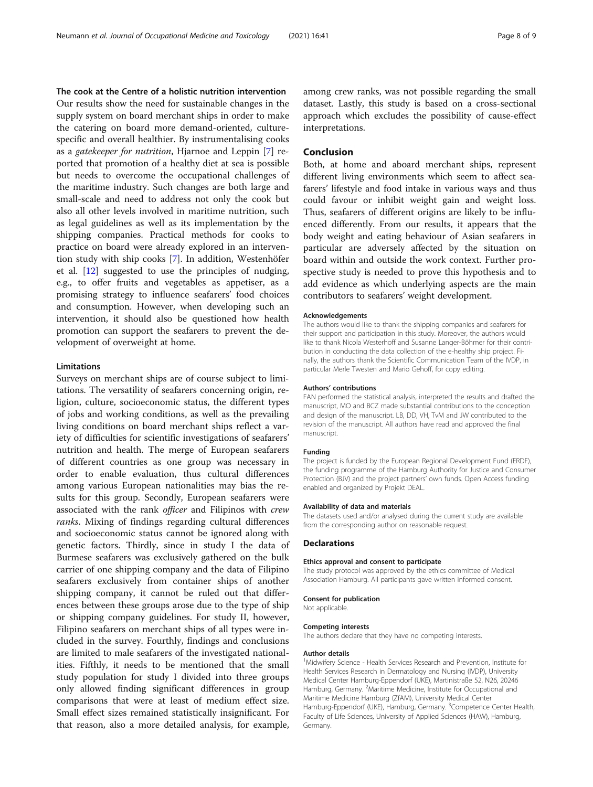The cook at the Centre of a holistic nutrition intervention Our results show the need for sustainable changes in the supply system on board merchant ships in order to make the catering on board more demand-oriented, culturespecific and overall healthier. By instrumentalising cooks as a gatekeeper for nutrition, Hjarnoe and Leppin [\[7](#page-8-0)] reported that promotion of a healthy diet at sea is possible but needs to overcome the occupational challenges of the maritime industry. Such changes are both large and small-scale and need to address not only the cook but also all other levels involved in maritime nutrition, such as legal guidelines as well as its implementation by the shipping companies. Practical methods for cooks to practice on board were already explored in an intervention study with ship cooks [\[7](#page-8-0)]. In addition, Westenhöfer et al. [\[12](#page-8-0)] suggested to use the principles of nudging, e.g., to offer fruits and vegetables as appetiser, as a promising strategy to influence seafarers' food choices and consumption. However, when developing such an intervention, it should also be questioned how health promotion can support the seafarers to prevent the development of overweight at home.

## Limitations

Surveys on merchant ships are of course subject to limitations. The versatility of seafarers concerning origin, religion, culture, socioeconomic status, the different types of jobs and working conditions, as well as the prevailing living conditions on board merchant ships reflect a variety of difficulties for scientific investigations of seafarers' nutrition and health. The merge of European seafarers of different countries as one group was necessary in order to enable evaluation, thus cultural differences among various European nationalities may bias the results for this group. Secondly, European seafarers were associated with the rank officer and Filipinos with crew ranks. Mixing of findings regarding cultural differences and socioeconomic status cannot be ignored along with genetic factors. Thirdly, since in study I the data of Burmese seafarers was exclusively gathered on the bulk carrier of one shipping company and the data of Filipino seafarers exclusively from container ships of another shipping company, it cannot be ruled out that differences between these groups arose due to the type of ship or shipping company guidelines. For study II, however, Filipino seafarers on merchant ships of all types were included in the survey. Fourthly, findings and conclusions are limited to male seafarers of the investigated nationalities. Fifthly, it needs to be mentioned that the small study population for study I divided into three groups only allowed finding significant differences in group comparisons that were at least of medium effect size. Small effect sizes remained statistically insignificant. For that reason, also a more detailed analysis, for example,

among crew ranks, was not possible regarding the small dataset. Lastly, this study is based on a cross-sectional approach which excludes the possibility of cause-effect interpretations.

## Conclusion

Both, at home and aboard merchant ships, represent different living environments which seem to affect seafarers' lifestyle and food intake in various ways and thus could favour or inhibit weight gain and weight loss. Thus, seafarers of different origins are likely to be influenced differently. From our results, it appears that the body weight and eating behaviour of Asian seafarers in particular are adversely affected by the situation on board within and outside the work context. Further prospective study is needed to prove this hypothesis and to add evidence as which underlying aspects are the main contributors to seafarers' weight development.

#### Acknowledgements

The authors would like to thank the shipping companies and seafarers for their support and participation in this study. Moreover, the authors would like to thank Nicola Westerhoff and Susanne Langer-Böhmer for their contribution in conducting the data collection of the e-healthy ship project. Finally, the authors thank the Scientific Communication Team of the IVDP, in particular Merle Twesten and Mario Gehoff, for copy editing.

#### Authors' contributions

FAN performed the statistical analysis, interpreted the results and drafted the manuscript, MO and BCZ made substantial contributions to the conception and design of the manuscript. LB, DD, VH, TvM and JW contributed to the revision of the manuscript. All authors have read and approved the final manuscript.

#### Funding

The project is funded by the European Regional Development Fund (ERDF), the funding programme of the Hamburg Authority for Justice and Consumer Protection (BJV) and the project partners' own funds. Open Access funding enabled and organized by Projekt DEAL.

#### Availability of data and materials

The datasets used and/or analysed during the current study are available from the corresponding author on reasonable request.

#### **Declarations**

#### Ethics approval and consent to participate

The study protocol was approved by the ethics committee of Medical Association Hamburg. All participants gave written informed consent.

#### Consent for publication

Not applicable.

#### Competing interests

The authors declare that they have no competing interests.

#### Author details

<sup>1</sup>Midwifery Science - Health Services Research and Prevention, Institute for Health Services Research in Dermatology and Nursing (IVDP), University Medical Center Hamburg-Eppendorf (UKE), Martinistraße 52, N26, 20246 Hamburg, Germany. <sup>2</sup>Maritime Medicine, Institute for Occupational and Maritime Medicine Hamburg (ZfAM), University Medical Center Hamburg-Eppendorf (UKE), Hamburg, Germany. <sup>3</sup>Competence Center Health, Faculty of Life Sciences, University of Applied Sciences (HAW), Hamburg, Germany.